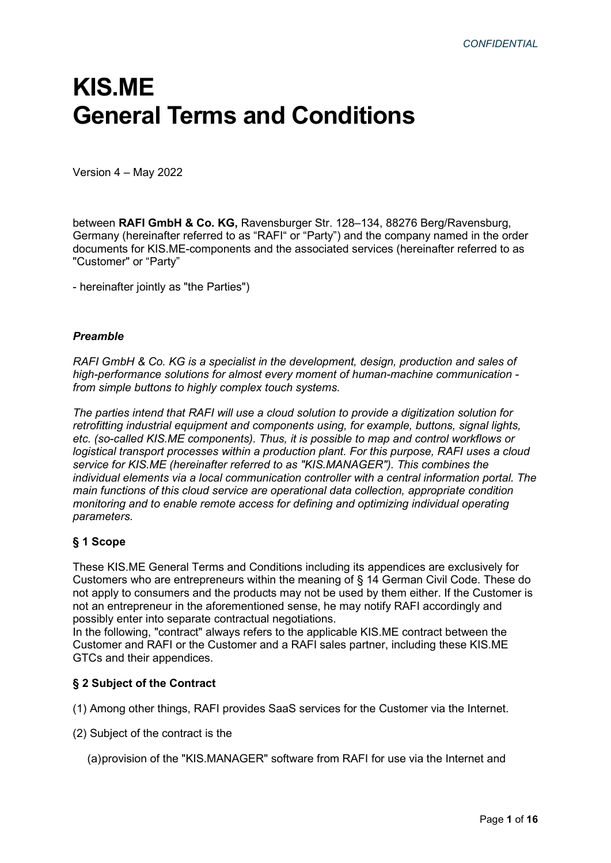# KIS.ME General Terms and Conditions

Version 4 – May 2022

between RAFI GmbH & Co. KG, Ravensburger Str. 128–134, 88276 Berg/Ravensburg, Germany (hereinafter referred to as "RAFI" or "Party") and the company named in the order documents for KIS.ME-components and the associated services (hereinafter referred to as "Customer" or "Party"

- hereinafter jointly as "the Parties")

### Preamble

RAFI GmbH & Co. KG is a specialist in the development, design, production and sales of high-performance solutions for almost every moment of human-machine communication from simple buttons to highly complex touch systems.

The parties intend that RAFI will use a cloud solution to provide a digitization solution for retrofitting industrial equipment and components using, for example, buttons, signal lights, etc. (so-called KIS.ME components). Thus, it is possible to map and control workflows or logistical transport processes within a production plant. For this purpose, RAFI uses a cloud service for KIS.ME (hereinafter referred to as "KIS.MANAGER"). This combines the individual elements via a local communication controller with a central information portal. The main functions of this cloud service are operational data collection, appropriate condition monitoring and to enable remote access for defining and optimizing individual operating parameters.

# § 1 Scope

These KIS.ME General Terms and Conditions including its appendices are exclusively for Customers who are entrepreneurs within the meaning of § 14 German Civil Code. These do not apply to consumers and the products may not be used by them either. If the Customer is not an entrepreneur in the aforementioned sense, he may notify RAFI accordingly and possibly enter into separate contractual negotiations.

In the following, "contract" always refers to the applicable KIS.ME contract between the Customer and RAFI or the Customer and a RAFI sales partner, including these KIS.ME GTCs and their appendices.

# § 2 Subject of the Contract

(1) Among other things, RAFI provides SaaS services for the Customer via the Internet.

(2) Subject of the contract is the

(a) provision of the "KIS.MANAGER" software from RAFI for use via the Internet and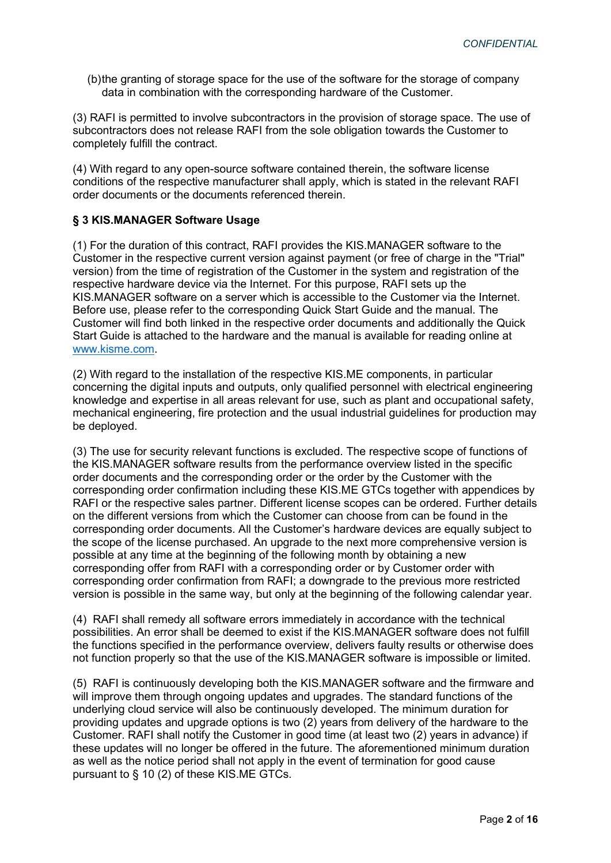(b) the granting of storage space for the use of the software for the storage of company data in combination with the corresponding hardware of the Customer.

(3) RAFI is permitted to involve subcontractors in the provision of storage space. The use of subcontractors does not release RAFI from the sole obligation towards the Customer to completely fulfill the contract.

(4) With regard to any open-source software contained therein, the software license conditions of the respective manufacturer shall apply, which is stated in the relevant RAFI order documents or the documents referenced therein.

## § 3 KIS.MANAGER Software Usage

(1) For the duration of this contract, RAFI provides the KIS.MANAGER software to the Customer in the respective current version against payment (or free of charge in the "Trial" version) from the time of registration of the Customer in the system and registration of the respective hardware device via the Internet. For this purpose, RAFI sets up the KIS.MANAGER software on a server which is accessible to the Customer via the Internet. Before use, please refer to the corresponding Quick Start Guide and the manual. The Customer will find both linked in the respective order documents and additionally the Quick Start Guide is attached to the hardware and the manual is available for reading online at www.kisme.com.

(2) With regard to the installation of the respective KIS.ME components, in particular concerning the digital inputs and outputs, only qualified personnel with electrical engineering knowledge and expertise in all areas relevant for use, such as plant and occupational safety, mechanical engineering, fire protection and the usual industrial guidelines for production may be deployed.

(3) The use for security relevant functions is excluded. The respective scope of functions of the KIS.MANAGER software results from the performance overview listed in the specific order documents and the corresponding order or the order by the Customer with the corresponding order confirmation including these KIS.ME GTCs together with appendices by RAFI or the respective sales partner. Different license scopes can be ordered. Further details on the different versions from which the Customer can choose from can be found in the corresponding order documents. All the Customer's hardware devices are equally subject to the scope of the license purchased. An upgrade to the next more comprehensive version is possible at any time at the beginning of the following month by obtaining a new corresponding offer from RAFI with a corresponding order or by Customer order with corresponding order confirmation from RAFI; a downgrade to the previous more restricted version is possible in the same way, but only at the beginning of the following calendar year.

(4) RAFI shall remedy all software errors immediately in accordance with the technical possibilities. An error shall be deemed to exist if the KIS.MANAGER software does not fulfill the functions specified in the performance overview, delivers faulty results or otherwise does not function properly so that the use of the KIS.MANAGER software is impossible or limited.

(5) RAFI is continuously developing both the KIS.MANAGER software and the firmware and will improve them through ongoing updates and upgrades. The standard functions of the underlying cloud service will also be continuously developed. The minimum duration for providing updates and upgrade options is two (2) years from delivery of the hardware to the Customer. RAFI shall notify the Customer in good time (at least two (2) years in advance) if these updates will no longer be offered in the future. The aforementioned minimum duration as well as the notice period shall not apply in the event of termination for good cause pursuant to § 10 (2) of these KIS.ME GTCs.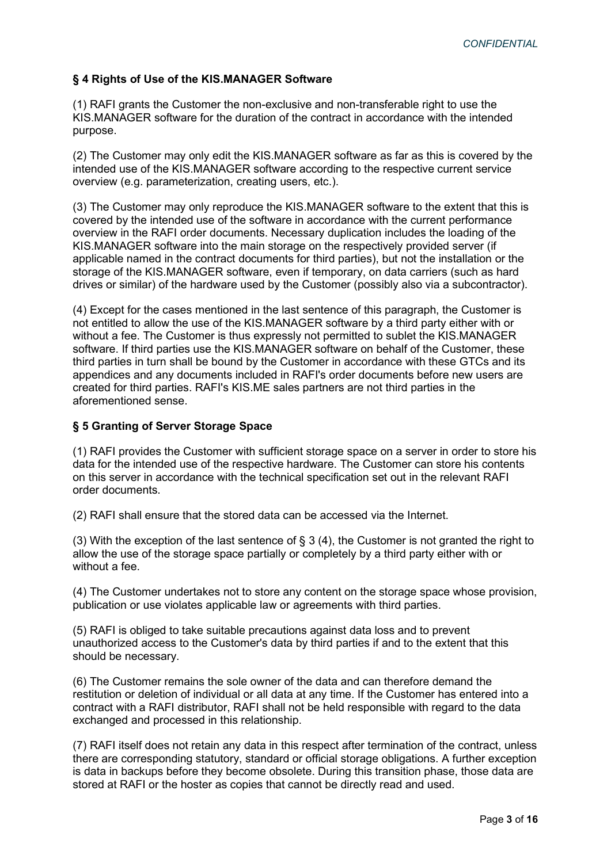# § 4 Rights of Use of the KIS.MANAGER Software

(1) RAFI grants the Customer the non-exclusive and non-transferable right to use the KIS.MANAGER software for the duration of the contract in accordance with the intended purpose.

(2) The Customer may only edit the KIS.MANAGER software as far as this is covered by the intended use of the KIS.MANAGER software according to the respective current service overview (e.g. parameterization, creating users, etc.).

(3) The Customer may only reproduce the KIS.MANAGER software to the extent that this is covered by the intended use of the software in accordance with the current performance overview in the RAFI order documents. Necessary duplication includes the loading of the KIS.MANAGER software into the main storage on the respectively provided server (if applicable named in the contract documents for third parties), but not the installation or the storage of the KIS.MANAGER software, even if temporary, on data carriers (such as hard drives or similar) of the hardware used by the Customer (possibly also via a subcontractor).

(4) Except for the cases mentioned in the last sentence of this paragraph, the Customer is not entitled to allow the use of the KIS.MANAGER software by a third party either with or without a fee. The Customer is thus expressly not permitted to sublet the KIS.MANAGER software. If third parties use the KIS.MANAGER software on behalf of the Customer, these third parties in turn shall be bound by the Customer in accordance with these GTCs and its appendices and any documents included in RAFI's order documents before new users are created for third parties. RAFI's KIS.ME sales partners are not third parties in the aforementioned sense.

## § 5 Granting of Server Storage Space

(1) RAFI provides the Customer with sufficient storage space on a server in order to store his data for the intended use of the respective hardware. The Customer can store his contents on this server in accordance with the technical specification set out in the relevant RAFI order documents.

(2) RAFI shall ensure that the stored data can be accessed via the Internet.

(3) With the exception of the last sentence of § 3 (4), the Customer is not granted the right to allow the use of the storage space partially or completely by a third party either with or without a fee.

(4) The Customer undertakes not to store any content on the storage space whose provision, publication or use violates applicable law or agreements with third parties.

(5) RAFI is obliged to take suitable precautions against data loss and to prevent unauthorized access to the Customer's data by third parties if and to the extent that this should be necessary.

(6) The Customer remains the sole owner of the data and can therefore demand the restitution or deletion of individual or all data at any time. If the Customer has entered into a contract with a RAFI distributor, RAFI shall not be held responsible with regard to the data exchanged and processed in this relationship.

(7) RAFI itself does not retain any data in this respect after termination of the contract, unless there are corresponding statutory, standard or official storage obligations. A further exception is data in backups before they become obsolete. During this transition phase, those data are stored at RAFI or the hoster as copies that cannot be directly read and used.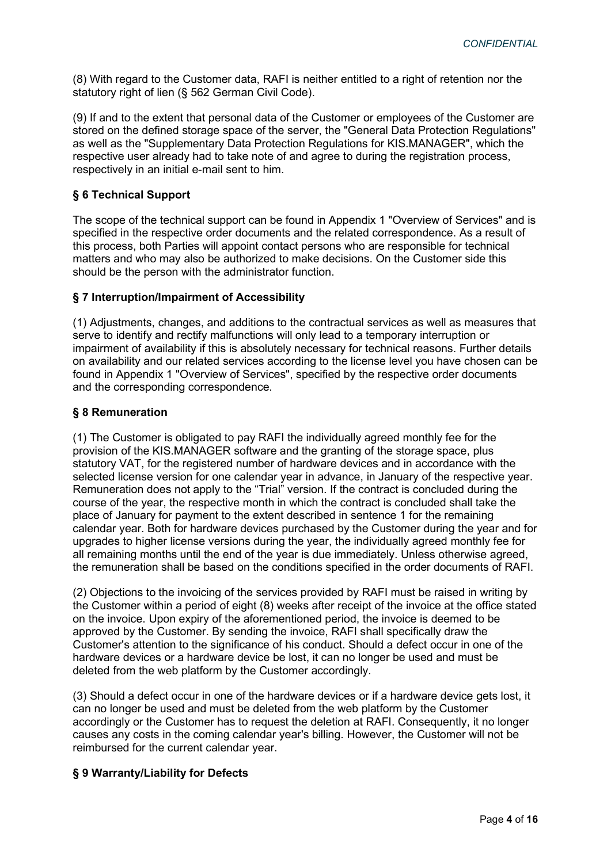(8) With regard to the Customer data, RAFI is neither entitled to a right of retention nor the statutory right of lien (§ 562 German Civil Code).

(9) If and to the extent that personal data of the Customer or employees of the Customer are stored on the defined storage space of the server, the "General Data Protection Regulations" as well as the "Supplementary Data Protection Regulations for KIS.MANAGER", which the respective user already had to take note of and agree to during the registration process, respectively in an initial e-mail sent to him.

# § 6 Technical Support

The scope of the technical support can be found in Appendix 1 "Overview of Services" and is specified in the respective order documents and the related correspondence. As a result of this process, both Parties will appoint contact persons who are responsible for technical matters and who may also be authorized to make decisions. On the Customer side this should be the person with the administrator function.

# § 7 Interruption/Impairment of Accessibility

(1) Adjustments, changes, and additions to the contractual services as well as measures that serve to identify and rectify malfunctions will only lead to a temporary interruption or impairment of availability if this is absolutely necessary for technical reasons. Further details on availability and our related services according to the license level you have chosen can be found in Appendix 1 "Overview of Services", specified by the respective order documents and the corresponding correspondence.

# § 8 Remuneration

(1) The Customer is obligated to pay RAFI the individually agreed monthly fee for the provision of the KIS.MANAGER software and the granting of the storage space, plus statutory VAT, for the registered number of hardware devices and in accordance with the selected license version for one calendar year in advance, in January of the respective year. Remuneration does not apply to the "Trial" version. If the contract is concluded during the course of the year, the respective month in which the contract is concluded shall take the place of January for payment to the extent described in sentence 1 for the remaining calendar year. Both for hardware devices purchased by the Customer during the year and for upgrades to higher license versions during the year, the individually agreed monthly fee for all remaining months until the end of the year is due immediately. Unless otherwise agreed, the remuneration shall be based on the conditions specified in the order documents of RAFI.

(2) Objections to the invoicing of the services provided by RAFI must be raised in writing by the Customer within a period of eight (8) weeks after receipt of the invoice at the office stated on the invoice. Upon expiry of the aforementioned period, the invoice is deemed to be approved by the Customer. By sending the invoice, RAFI shall specifically draw the Customer's attention to the significance of his conduct. Should a defect occur in one of the hardware devices or a hardware device be lost, it can no longer be used and must be deleted from the web platform by the Customer accordingly.

(3) Should a defect occur in one of the hardware devices or if a hardware device gets lost, it can no longer be used and must be deleted from the web platform by the Customer accordingly or the Customer has to request the deletion at RAFI. Consequently, it no longer causes any costs in the coming calendar year's billing. However, the Customer will not be reimbursed for the current calendar year.

# § 9 Warranty/Liability for Defects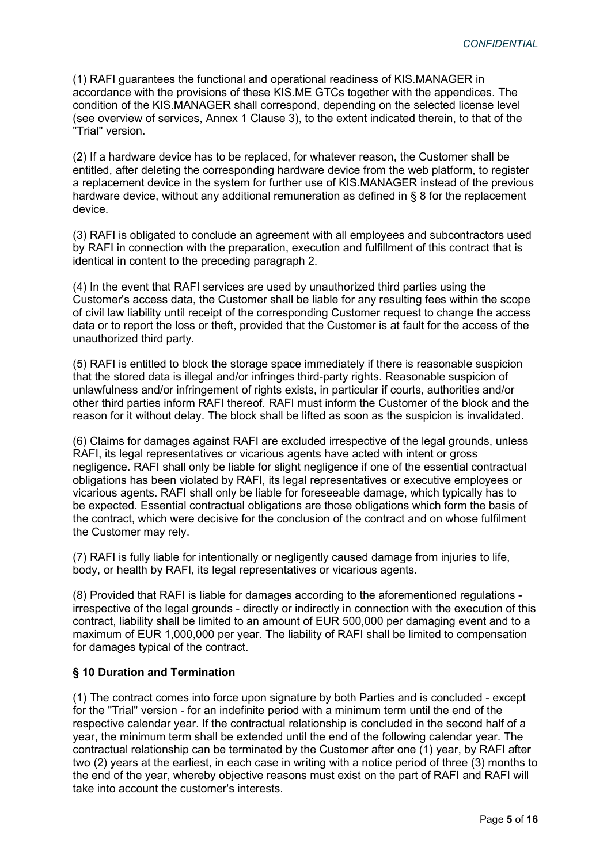(1) RAFI guarantees the functional and operational readiness of KIS.MANAGER in accordance with the provisions of these KIS.ME GTCs together with the appendices. The condition of the KIS.MANAGER shall correspond, depending on the selected license level (see overview of services, Annex 1 Clause 3), to the extent indicated therein, to that of the "Trial" version.

(2) If a hardware device has to be replaced, for whatever reason, the Customer shall be entitled, after deleting the corresponding hardware device from the web platform, to register a replacement device in the system for further use of KIS.MANAGER instead of the previous hardware device, without any additional remuneration as defined in § 8 for the replacement device.

(3) RAFI is obligated to conclude an agreement with all employees and subcontractors used by RAFI in connection with the preparation, execution and fulfillment of this contract that is identical in content to the preceding paragraph 2.

(4) In the event that RAFI services are used by unauthorized third parties using the Customer's access data, the Customer shall be liable for any resulting fees within the scope of civil law liability until receipt of the corresponding Customer request to change the access data or to report the loss or theft, provided that the Customer is at fault for the access of the unauthorized third party.

(5) RAFI is entitled to block the storage space immediately if there is reasonable suspicion that the stored data is illegal and/or infringes third-party rights. Reasonable suspicion of unlawfulness and/or infringement of rights exists, in particular if courts, authorities and/or other third parties inform RAFI thereof. RAFI must inform the Customer of the block and the reason for it without delay. The block shall be lifted as soon as the suspicion is invalidated.

(6) Claims for damages against RAFI are excluded irrespective of the legal grounds, unless RAFI, its legal representatives or vicarious agents have acted with intent or gross negligence. RAFI shall only be liable for slight negligence if one of the essential contractual obligations has been violated by RAFI, its legal representatives or executive employees or vicarious agents. RAFI shall only be liable for foreseeable damage, which typically has to be expected. Essential contractual obligations are those obligations which form the basis of the contract, which were decisive for the conclusion of the contract and on whose fulfilment the Customer may rely.

(7) RAFI is fully liable for intentionally or negligently caused damage from injuries to life, body, or health by RAFI, its legal representatives or vicarious agents.

(8) Provided that RAFI is liable for damages according to the aforementioned regulations irrespective of the legal grounds - directly or indirectly in connection with the execution of this contract, liability shall be limited to an amount of EUR 500,000 per damaging event and to a maximum of EUR 1,000,000 per year. The liability of RAFI shall be limited to compensation for damages typical of the contract.

# § 10 Duration and Termination

(1) The contract comes into force upon signature by both Parties and is concluded - except for the "Trial" version - for an indefinite period with a minimum term until the end of the respective calendar year. If the contractual relationship is concluded in the second half of a year, the minimum term shall be extended until the end of the following calendar year. The contractual relationship can be terminated by the Customer after one (1) year, by RAFI after two (2) years at the earliest, in each case in writing with a notice period of three (3) months to the end of the year, whereby objective reasons must exist on the part of RAFI and RAFI will take into account the customer's interests.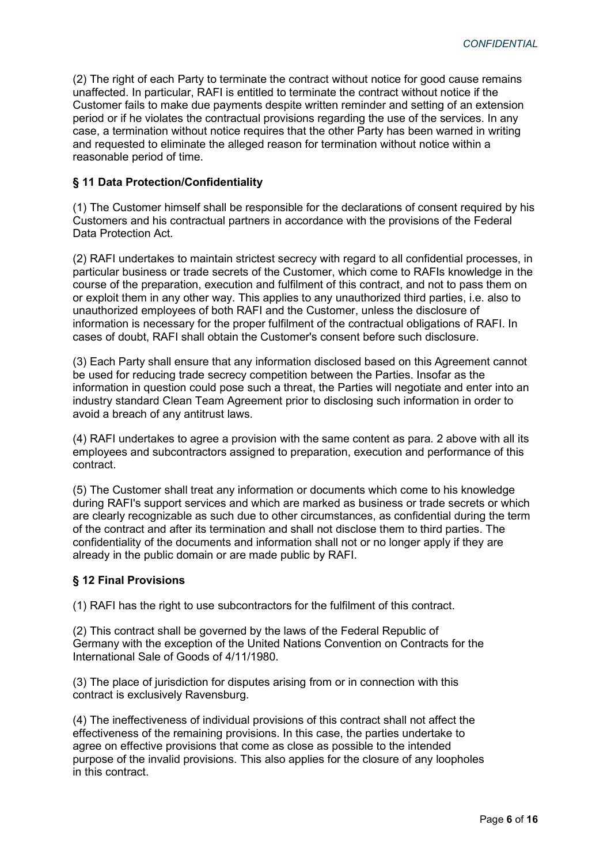(2) The right of each Party to terminate the contract without notice for good cause remains unaffected. In particular, RAFI is entitled to terminate the contract without notice if the Customer fails to make due payments despite written reminder and setting of an extension period or if he violates the contractual provisions regarding the use of the services. In any case, a termination without notice requires that the other Party has been warned in writing and requested to eliminate the alleged reason for termination without notice within a reasonable period of time.

## § 11 Data Protection/Confidentiality

(1) The Customer himself shall be responsible for the declarations of consent required by his Customers and his contractual partners in accordance with the provisions of the Federal Data Protection Act.

(2) RAFI undertakes to maintain strictest secrecy with regard to all confidential processes, in particular business or trade secrets of the Customer, which come to RAFIs knowledge in the course of the preparation, execution and fulfilment of this contract, and not to pass them on or exploit them in any other way. This applies to any unauthorized third parties, i.e. also to unauthorized employees of both RAFI and the Customer, unless the disclosure of information is necessary for the proper fulfilment of the contractual obligations of RAFI. In cases of doubt, RAFI shall obtain the Customer's consent before such disclosure.

(3) Each Party shall ensure that any information disclosed based on this Agreement cannot be used for reducing trade secrecy competition between the Parties. Insofar as the information in question could pose such a threat, the Parties will negotiate and enter into an industry standard Clean Team Agreement prior to disclosing such information in order to avoid a breach of any antitrust laws.

(4) RAFI undertakes to agree a provision with the same content as para. 2 above with all its employees and subcontractors assigned to preparation, execution and performance of this contract.

(5) The Customer shall treat any information or documents which come to his knowledge during RAFI's support services and which are marked as business or trade secrets or which are clearly recognizable as such due to other circumstances, as confidential during the term of the contract and after its termination and shall not disclose them to third parties. The confidentiality of the documents and information shall not or no longer apply if they are already in the public domain or are made public by RAFI.

# § 12 Final Provisions

(1) RAFI has the right to use subcontractors for the fulfilment of this contract.

(2) This contract shall be governed by the laws of the Federal Republic of Germany with the exception of the United Nations Convention on Contracts for the International Sale of Goods of 4/11/1980.

(3) The place of jurisdiction for disputes arising from or in connection with this contract is exclusively Ravensburg.

(4) The ineffectiveness of individual provisions of this contract shall not affect the effectiveness of the remaining provisions. In this case, the parties undertake to agree on effective provisions that come as close as possible to the intended purpose of the invalid provisions. This also applies for the closure of any loopholes in this contract.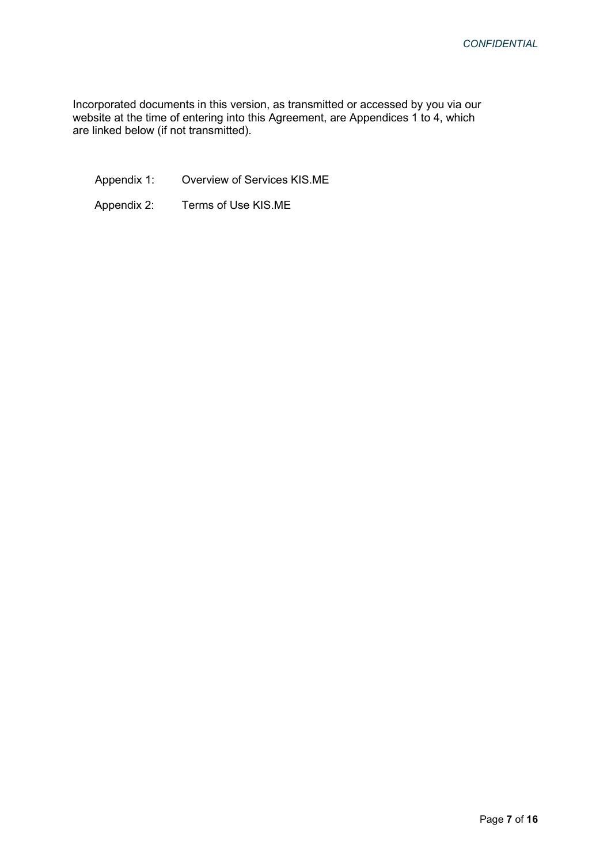Incorporated documents in this version, as transmitted or accessed by you via our website at the time of entering into this Agreement, are Appendices 1 to 4, which are linked below (if not transmitted).

Appendix 1: Overview of Services KIS.ME

Appendix 2: Terms of Use KIS.ME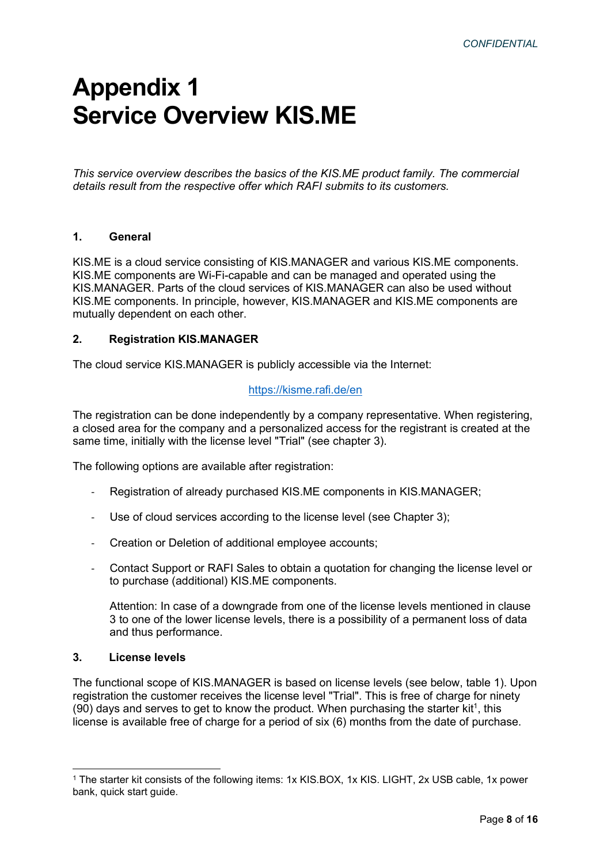# Appendix 1 Service Overview KIS.ME

This service overview describes the basics of the KIS.ME product family. The commercial details result from the respective offer which RAFI submits to its customers.

# 1. General

KIS.ME is a cloud service consisting of KIS.MANAGER and various KIS.ME components. KIS.ME components are Wi-Fi-capable and can be managed and operated using the KIS.MANAGER. Parts of the cloud services of KIS.MANAGER can also be used without KIS.ME components. In principle, however, KIS.MANAGER and KIS.ME components are mutually dependent on each other.

### 2. Registration KIS.MANAGER

The cloud service KIS.MANAGER is publicly accessible via the Internet:

# https://kisme.rafi.de/en

The registration can be done independently by a company representative. When registering, a closed area for the company and a personalized access for the registrant is created at the same time, initially with the license level "Trial" (see chapter 3).

The following options are available after registration:

- Registration of already purchased KIS.ME components in KIS.MANAGER;
- Use of cloud services according to the license level (see Chapter 3);
- Creation or Deletion of additional employee accounts;
- Contact Support or RAFI Sales to obtain a quotation for changing the license level or to purchase (additional) KIS.ME components.

Attention: In case of a downgrade from one of the license levels mentioned in clause 3 to one of the lower license levels, there is a possibility of a permanent loss of data and thus performance.

#### 3. License levels

The functional scope of KIS.MANAGER is based on license levels (see below, table 1). Upon registration the customer receives the license level "Trial". This is free of charge for ninety  $(90)$  days and serves to get to know the product. When purchasing the starter kit<sup>1</sup>, this license is available free of charge for a period of six (6) months from the date of purchase.

<sup>1</sup> The starter kit consists of the following items: 1x KIS.BOX, 1x KIS. LIGHT, 2x USB cable, 1x power bank, quick start guide.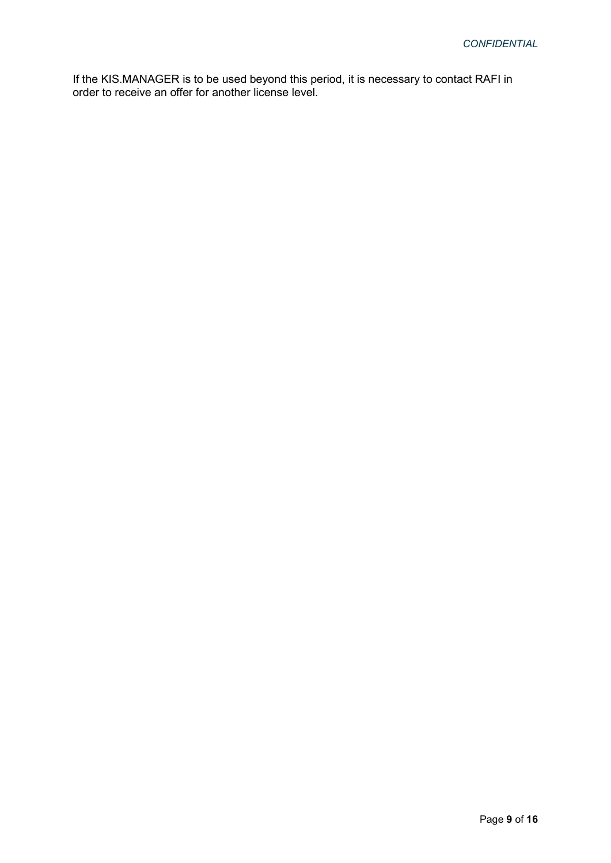If the KIS.MANAGER is to be used beyond this period, it is necessary to contact RAFI in order to receive an offer for another license level.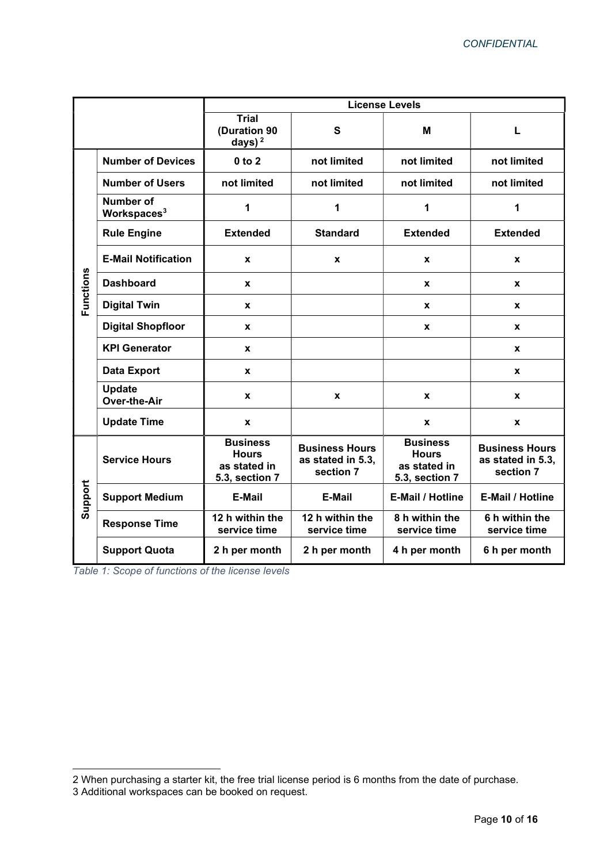|           |                                             | <b>License Levels</b>                                             |                                                         |                                                                   |                                                         |
|-----------|---------------------------------------------|-------------------------------------------------------------------|---------------------------------------------------------|-------------------------------------------------------------------|---------------------------------------------------------|
|           |                                             | <b>Trial</b><br>(Duration 90<br>days) $2$                         | S                                                       | M                                                                 | L                                                       |
| Functions | <b>Number of Devices</b>                    | $0$ to $2$                                                        | not limited                                             | not limited                                                       | not limited                                             |
|           | <b>Number of Users</b>                      | not limited                                                       | not limited                                             | not limited                                                       | not limited                                             |
|           | <b>Number of</b><br>Workspaces <sup>3</sup> | 1                                                                 | 1                                                       | 1                                                                 | 1                                                       |
|           | <b>Rule Engine</b>                          | <b>Extended</b>                                                   | <b>Standard</b>                                         | <b>Extended</b>                                                   | <b>Extended</b>                                         |
|           | <b>E-Mail Notification</b>                  | X                                                                 | X                                                       | X                                                                 | X                                                       |
|           | <b>Dashboard</b>                            | X                                                                 |                                                         | X                                                                 | X                                                       |
|           | <b>Digital Twin</b>                         | X                                                                 |                                                         | X                                                                 | X                                                       |
|           | <b>Digital Shopfloor</b>                    | X                                                                 |                                                         | X                                                                 | X                                                       |
|           | <b>KPI Generator</b>                        | X                                                                 |                                                         |                                                                   | X                                                       |
|           | <b>Data Export</b>                          | $\pmb{\mathsf{x}}$                                                |                                                         |                                                                   | X                                                       |
|           | <b>Update</b><br>Over-the-Air               | X                                                                 | X                                                       | X                                                                 | X                                                       |
|           | <b>Update Time</b>                          | X                                                                 |                                                         | X                                                                 | X                                                       |
| Support   | <b>Service Hours</b>                        | <b>Business</b><br><b>Hours</b><br>as stated in<br>5.3, section 7 | <b>Business Hours</b><br>as stated in 5.3,<br>section 7 | <b>Business</b><br><b>Hours</b><br>as stated in<br>5.3, section 7 | <b>Business Hours</b><br>as stated in 5.3,<br>section 7 |
|           | <b>Support Medium</b>                       | E-Mail                                                            | E-Mail                                                  | <b>E-Mail / Hotline</b>                                           | <b>E-Mail / Hotline</b>                                 |
|           | <b>Response Time</b>                        | 12 h within the<br>service time                                   | 12 h within the<br>service time                         | 8 h within the<br>service time                                    | 6 h within the<br>service time                          |
|           | <b>Support Quota</b>                        | 2 h per month                                                     | 2 h per month                                           | 4 h per month                                                     | 6 h per month                                           |

Table 1: Scope of functions of the license levels

<sup>2</sup> When purchasing a starter kit, the free trial license period is 6 months from the date of purchase.

<sup>3</sup> Additional workspaces can be booked on request.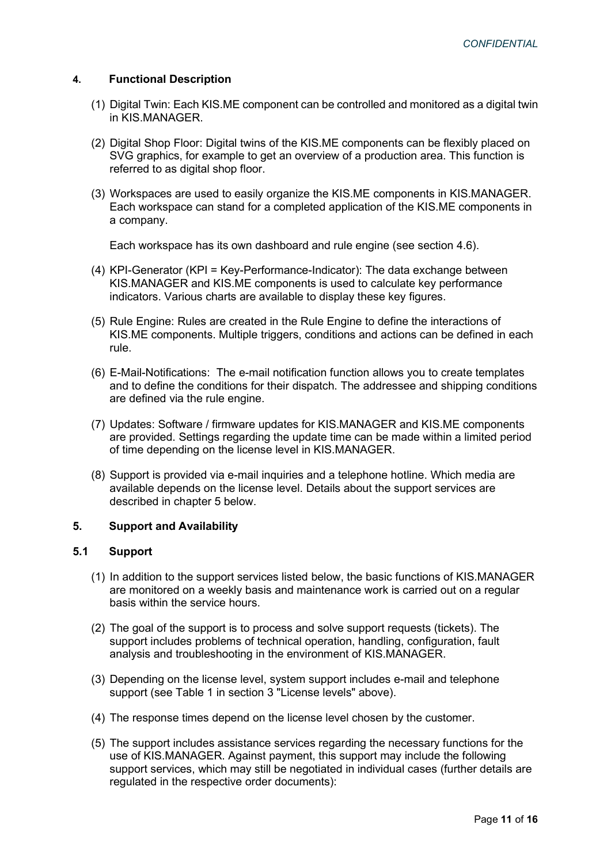# 4. Functional Description

- (1) Digital Twin: Each KIS.ME component can be controlled and monitored as a digital twin in KIS.MANAGER.
- (2) Digital Shop Floor: Digital twins of the KIS.ME components can be flexibly placed on SVG graphics, for example to get an overview of a production area. This function is referred to as digital shop floor.
- (3) Workspaces are used to easily organize the KIS.ME components in KIS.MANAGER. Each workspace can stand for a completed application of the KIS.ME components in a company.

Each workspace has its own dashboard and rule engine (see section 4.6).

- (4) KPI-Generator (KPI = Key-Performance-Indicator): The data exchange between KIS.MANAGER and KIS.ME components is used to calculate key performance indicators. Various charts are available to display these key figures.
- (5) Rule Engine: Rules are created in the Rule Engine to define the interactions of KIS.ME components. Multiple triggers, conditions and actions can be defined in each rule.
- (6) E-Mail-Notifications: The e-mail notification function allows you to create templates and to define the conditions for their dispatch. The addressee and shipping conditions are defined via the rule engine.
- (7) Updates: Software / firmware updates for KIS.MANAGER and KIS.ME components are provided. Settings regarding the update time can be made within a limited period of time depending on the license level in KIS.MANAGER.
- (8) Support is provided via e-mail inquiries and a telephone hotline. Which media are available depends on the license level. Details about the support services are described in chapter 5 below.

#### 5. Support and Availability

### 5.1 Support

- (1) In addition to the support services listed below, the basic functions of KIS.MANAGER are monitored on a weekly basis and maintenance work is carried out on a regular basis within the service hours.
- (2) The goal of the support is to process and solve support requests (tickets). The support includes problems of technical operation, handling, configuration, fault analysis and troubleshooting in the environment of KIS.MANAGER.
- (3) Depending on the license level, system support includes e-mail and telephone support (see Table 1 in section 3 "License levels" above).
- (4) The response times depend on the license level chosen by the customer.
- (5) The support includes assistance services regarding the necessary functions for the use of KIS.MANAGER. Against payment, this support may include the following support services, which may still be negotiated in individual cases (further details are regulated in the respective order documents):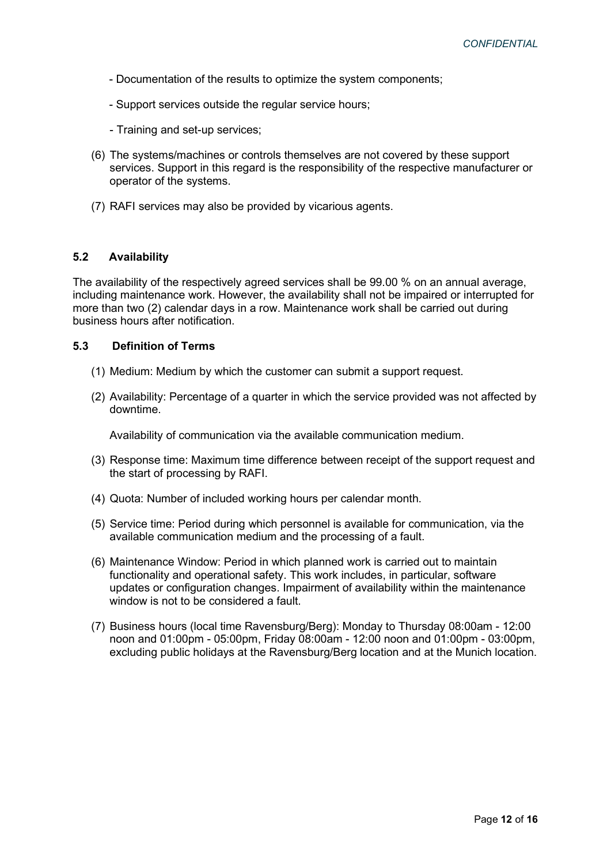- Documentation of the results to optimize the system components;
- Support services outside the regular service hours;
- Training and set-up services;
- (6) The systems/machines or controls themselves are not covered by these support services. Support in this regard is the responsibility of the respective manufacturer or operator of the systems.
- (7) RAFI services may also be provided by vicarious agents.

#### 5.2 Availability

The availability of the respectively agreed services shall be 99.00 % on an annual average, including maintenance work. However, the availability shall not be impaired or interrupted for more than two (2) calendar days in a row. Maintenance work shall be carried out during business hours after notification.

#### 5.3 Definition of Terms

- (1) Medium: Medium by which the customer can submit a support request.
- (2) Availability: Percentage of a quarter in which the service provided was not affected by downtime.

Availability of communication via the available communication medium.

- (3) Response time: Maximum time difference between receipt of the support request and the start of processing by RAFI.
- (4) Quota: Number of included working hours per calendar month.
- (5) Service time: Period during which personnel is available for communication, via the available communication medium and the processing of a fault.
- (6) Maintenance Window: Period in which planned work is carried out to maintain functionality and operational safety. This work includes, in particular, software updates or configuration changes. Impairment of availability within the maintenance window is not to be considered a fault.
- (7) Business hours (local time Ravensburg/Berg): Monday to Thursday 08:00am 12:00 noon and 01:00pm - 05:00pm, Friday 08:00am - 12:00 noon and 01:00pm - 03:00pm, excluding public holidays at the Ravensburg/Berg location and at the Munich location.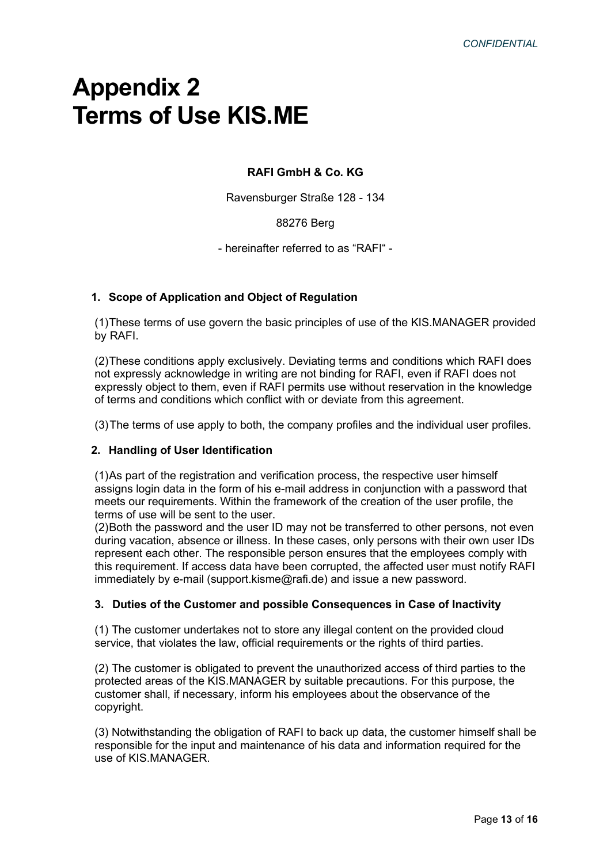# Appendix 2 Terms of Use KIS.ME

# RAFI GmbH & Co. KG

Ravensburger Straße 128 - 134

## 88276 Berg

- hereinafter referred to as "RAFI" -

### 1. Scope of Application and Object of Regulation

(1) These terms of use govern the basic principles of use of the KIS.MANAGER provided by RAFI.

(2) These conditions apply exclusively. Deviating terms and conditions which RAFI does not expressly acknowledge in writing are not binding for RAFI, even if RAFI does not expressly object to them, even if RAFI permits use without reservation in the knowledge of terms and conditions which conflict with or deviate from this agreement.

(3) The terms of use apply to both, the company profiles and the individual user profiles.

#### 2. Handling of User Identification

(1) As part of the registration and verification process, the respective user himself assigns login data in the form of his e-mail address in conjunction with a password that meets our requirements. Within the framework of the creation of the user profile, the terms of use will be sent to the user.

(2) Both the password and the user ID may not be transferred to other persons, not even during vacation, absence or illness. In these cases, only persons with their own user IDs represent each other. The responsible person ensures that the employees comply with this requirement. If access data have been corrupted, the affected user must notify RAFI immediately by e-mail (support.kisme@rafi.de) and issue a new password.

#### 3. Duties of the Customer and possible Consequences in Case of Inactivity

(1) The customer undertakes not to store any illegal content on the provided cloud service, that violates the law, official requirements or the rights of third parties.

(2) The customer is obligated to prevent the unauthorized access of third parties to the protected areas of the KIS.MANAGER by suitable precautions. For this purpose, the customer shall, if necessary, inform his employees about the observance of the copyright.

(3) Notwithstanding the obligation of RAFI to back up data, the customer himself shall be responsible for the input and maintenance of his data and information required for the use of KIS.MANAGER.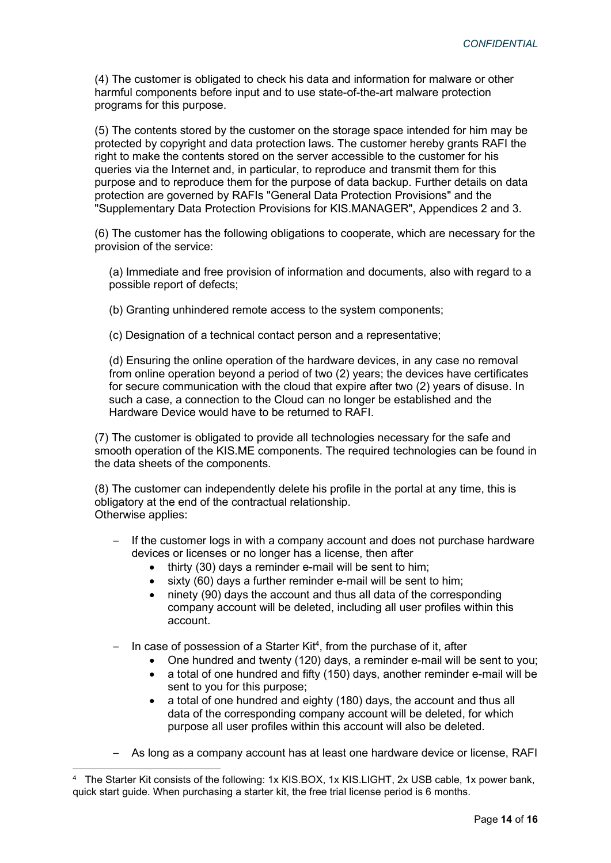(4) The customer is obligated to check his data and information for malware or other harmful components before input and to use state-of-the-art malware protection programs for this purpose.

(5) The contents stored by the customer on the storage space intended for him may be protected by copyright and data protection laws. The customer hereby grants RAFI the right to make the contents stored on the server accessible to the customer for his queries via the Internet and, in particular, to reproduce and transmit them for this purpose and to reproduce them for the purpose of data backup. Further details on data protection are governed by RAFIs "General Data Protection Provisions" and the "Supplementary Data Protection Provisions for KIS.MANAGER", Appendices 2 and 3.

(6) The customer has the following obligations to cooperate, which are necessary for the provision of the service:

(a) Immediate and free provision of information and documents, also with regard to a possible report of defects;

(b) Granting unhindered remote access to the system components;

(c) Designation of a technical contact person and a representative;

(d) Ensuring the online operation of the hardware devices, in any case no removal from online operation beyond a period of two (2) years; the devices have certificates for secure communication with the cloud that expire after two (2) years of disuse. In such a case, a connection to the Cloud can no longer be established and the Hardware Device would have to be returned to RAFI.

(7) The customer is obligated to provide all technologies necessary for the safe and smooth operation of the KIS.ME components. The required technologies can be found in the data sheets of the components.

(8) The customer can independently delete his profile in the portal at any time, this is obligatory at the end of the contractual relationship. Otherwise applies:

- If the customer logs in with a company account and does not purchase hardware devices or licenses or no longer has a license, then after
	- thirty (30) days a reminder e-mail will be sent to him;
	- $\bullet$  sixty (60) days a further reminder e-mail will be sent to him;
	- ninety (90) days the account and thus all data of the corresponding company account will be deleted, including all user profiles within this account.
- $-$  In case of possession of a Starter Kit<sup>4</sup>, from the purchase of it, after
	- One hundred and twenty (120) days, a reminder e-mail will be sent to you;
	- a total of one hundred and fifty (150) days, another reminder e-mail will be sent to you for this purpose;
	- a total of one hundred and eighty (180) days, the account and thus all data of the corresponding company account will be deleted, for which purpose all user profiles within this account will also be deleted.
- As long as a company account has at least one hardware device or license, RAFI

<sup>4</sup> The Starter Kit consists of the following: 1x KIS.BOX, 1x KIS.LIGHT, 2x USB cable, 1x power bank, quick start guide. When purchasing a starter kit, the free trial license period is 6 months.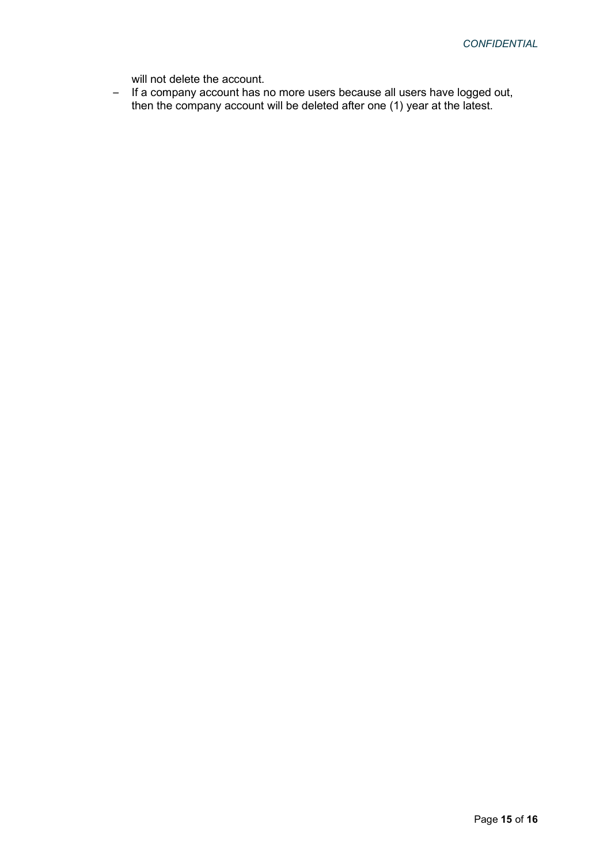will not delete the account.

– If a company account has no more users because all users have logged out, then the company account will be deleted after one (1) year at the latest.